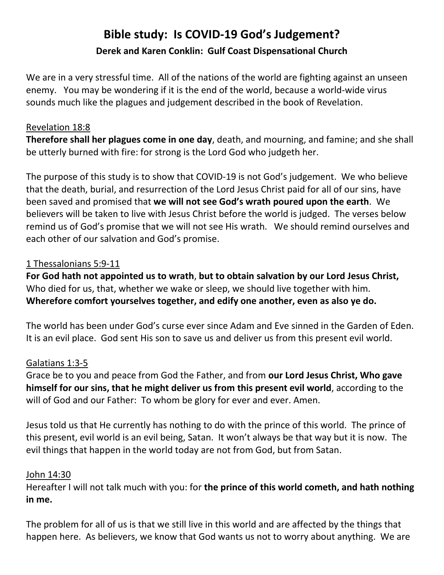# **Bible study: Is COVID-19 God's Judgement? Derek and Karen Conklin: Gulf Coast Dispensational Church**

We are in a very stressful time. All of the nations of the world are fighting against an unseen enemy. You may be wondering if it is the end of the world, because a world-wide virus sounds much like the plagues and judgement described in the book of Revelation.

#### Revelation 18:8

**Therefore shall her plagues come in one day**, death, and mourning, and famine; and she shall be utterly burned with fire: for strong is the Lord God who judgeth her.

The purpose of this study is to show that COVID-19 is not God's judgement. We who believe that the death, burial, and resurrection of the Lord Jesus Christ paid for all of our sins, have been saved and promised that **we will not see God's wrath poured upon the earth**. We believers will be taken to live with Jesus Christ before the world is judged. The verses below remind us of God's promise that we will not see His wrath. We should remind ourselves and each other of our salvation and God's promise.

### 1 Thessalonians 5:9-11

**For God hath not appointed us to wrath**, **but to obtain salvation by our Lord Jesus Christ,** Who died for us, that, whether we wake or sleep, we should live together with him. **Wherefore comfort yourselves together, and edify one another, even as also ye do.**

The world has been under God's curse ever since Adam and Eve sinned in the Garden of Eden. It is an evil place. God sent His son to save us and deliver us from this present evil world.

#### Galatians 1:3-5

Grace be to you and peace from God the Father, and from **our Lord Jesus Christ, Who gave himself for our sins, that he might deliver us from this present evil world**, according to the will of God and our Father: To whom be glory for ever and ever. Amen.

Jesus told us that He currently has nothing to do with the prince of this world. The prince of this present, evil world is an evil being, Satan. It won't always be that way but it is now. The evil things that happen in the world today are not from God, but from Satan.

#### John 14:30

Hereafter I will not talk much with you: for **the prince of this world cometh, and hath nothing in me.**

The problem for all of us is that we still live in this world and are affected by the things that happen here. As believers, we know that God wants us not to worry about anything. We are